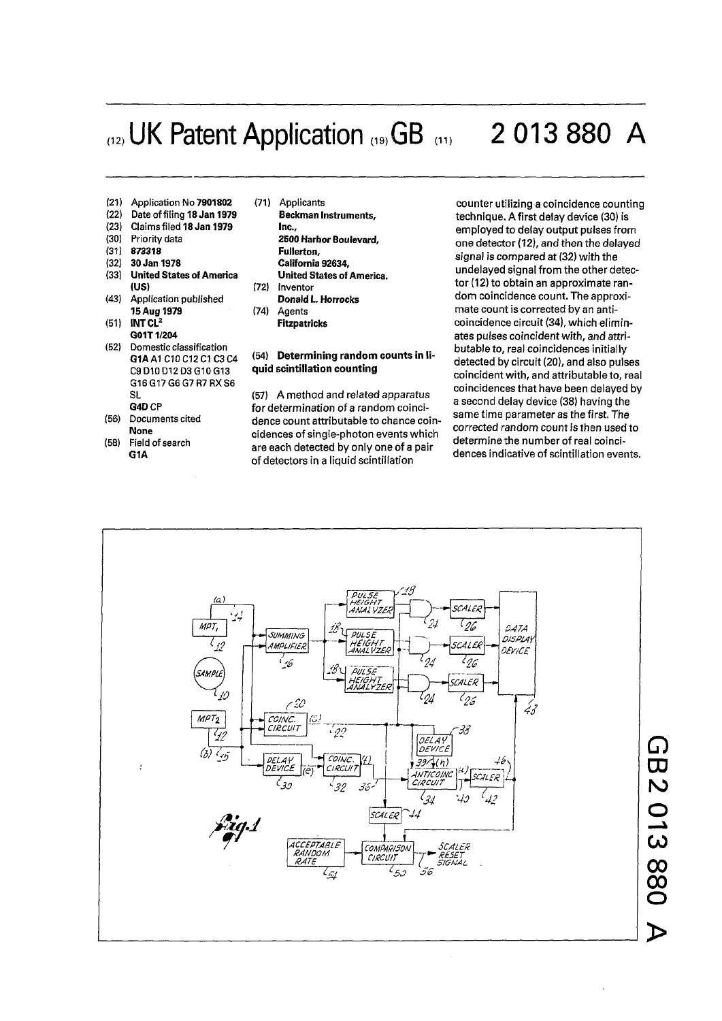## (12) UK Patent Application (19) GB (11) 2 013 880 A

- (21) Application No **7901802** (71) Applicants
- 
- (23) Claims filed **18 Jan 1979 Inc.,**
- 
- 
- (32) **30 Jan 1978**<br>(33) United States of America
- (43) Application published **15 Aug 1979** (74) **15 Aug 1979** (74) Agents
- (51) **INT CL<sup>2</sup> G01T1/204**
- (52) Domestic classification G16G17G6 G7R7RXS6
- 
- (58) Field of search **G1A**
- (22) Date of filing **18 Jan 1979 Beckman Instruments,**  (30) Priority data **2500 Harbor Boulevard,**  (31) **873318 Fullerton,**  United States of America **United States of America.**<br>
(US)  $(72)$  Inventor Inventor<br>**Donald L. Horrocks Fitzpatricks**

## **G1A** A1 C10 C12 C1 C3 C4 (54) Determining random counts in li-C9D10D12D3G10G13 **quid scintillation counting**

SL (57) A method and related apparatus<br> **G4D** CP *CP* for determination of a random coinci-**G4D** CP **for determination of a random coinci-**<br>Documents cited **dence count attributable to chance co** (56) Documents cited dence count attributable to chance coin cidences of single-photon events which<br>are each detected by only one of a pair of detectors in a liquid scintillation

**counter utilizing a coincidence counting technique. A first delay device (30) is employed to delay output pulses from one detector (12), and then the delayed signal is compared at (32) with the undelayed signal from the other detector (12) to obtain an approximate random coincidence count. The approximate count is corrected by an anticoincidence circuit (34), which eliminates pulses coincident with, and attributable to, real coincidences initially detected by circuit (20), and also pulses coincident with, and attributable to, real coincidences that have been delayed by a second delay device (38) having the same time parameter as the first. The corrected random count is then used to determine the number of real coincidences indicative of scintillation events.** 



**O**  $\blacktriangleright$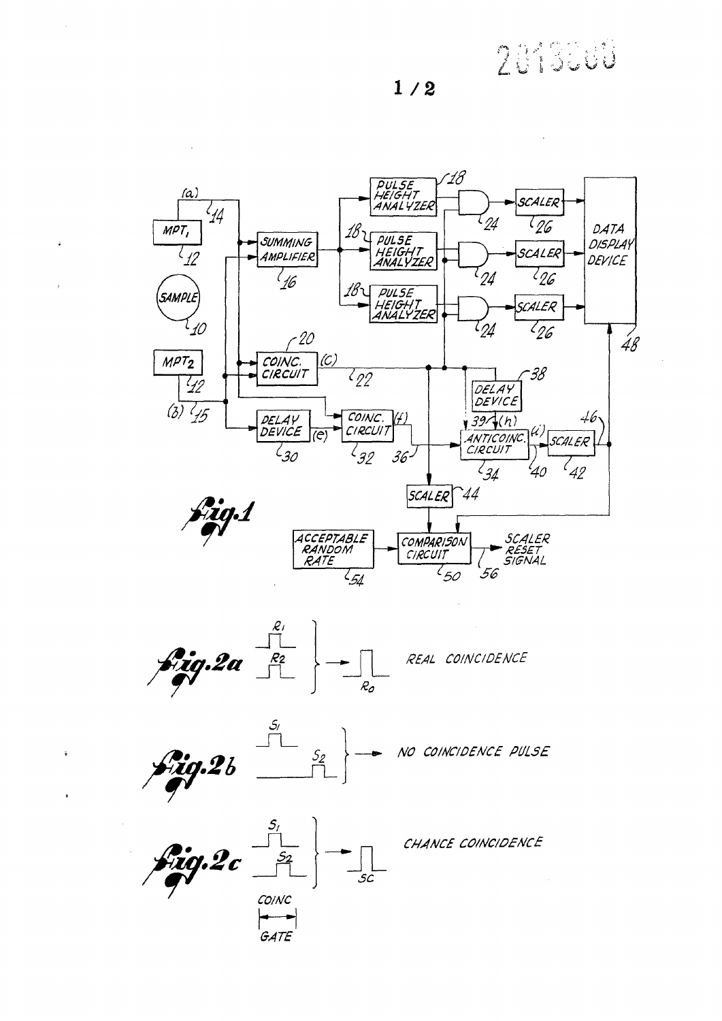2019000

 $1/2$ 

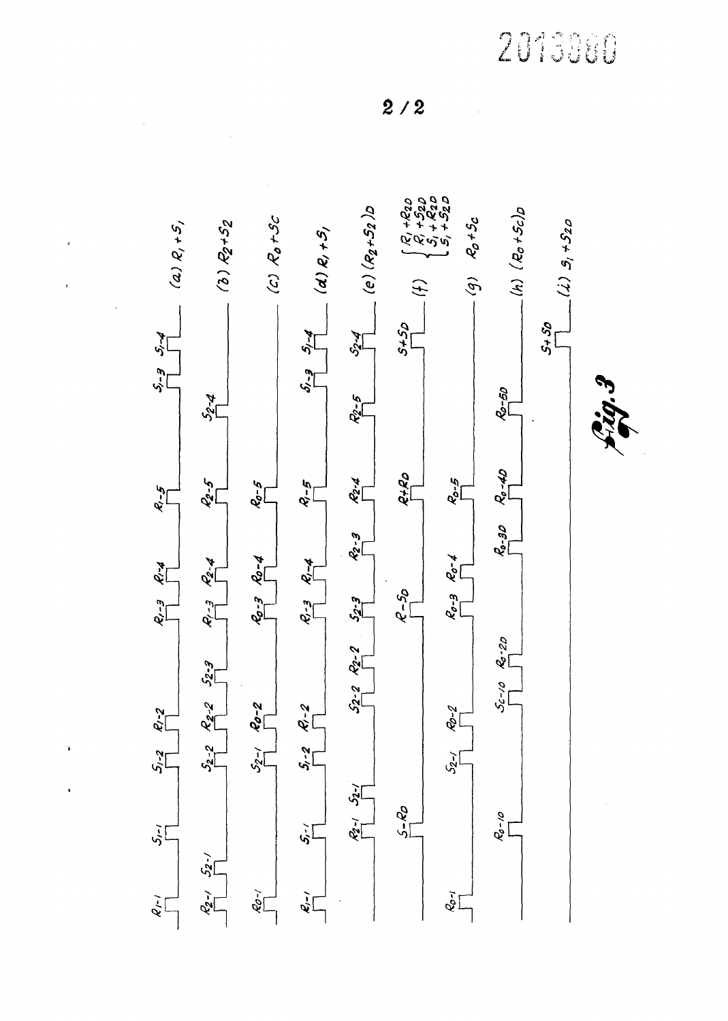2013980

 $2/2$ 



 $\hat{\textbf{v}}$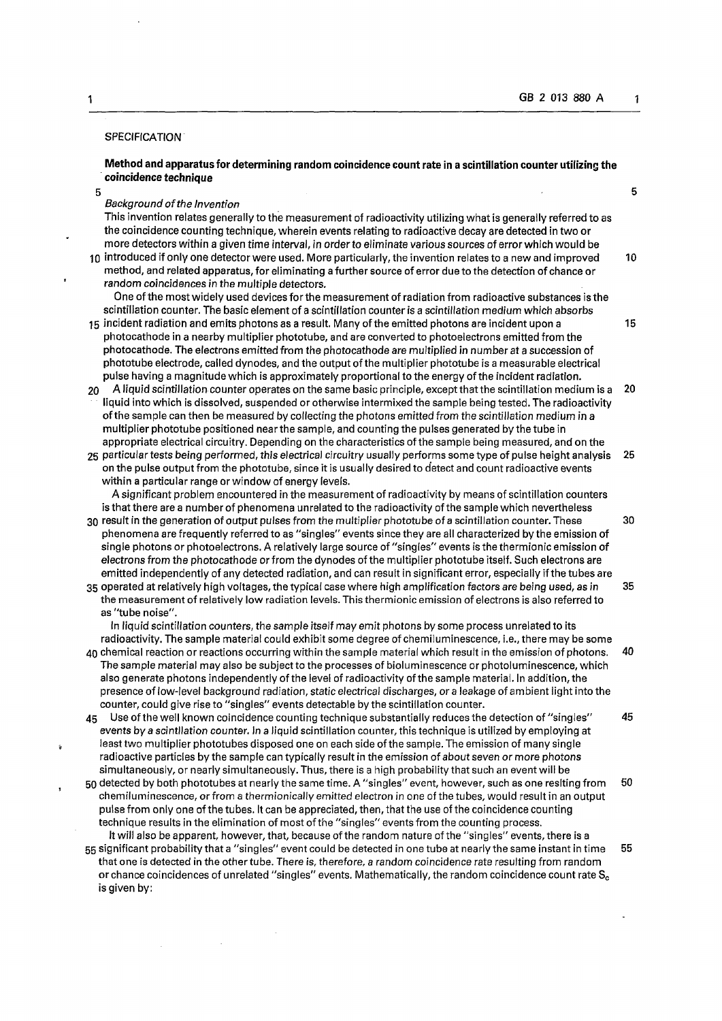## **SPECIFICATION**

**Method and apparatus for determining random coincidence count rate in a scintillation counter utilizing the coincidence technique** 

 $5$  5 *Background of the Invention* 

This invention relates generally to the measurement of radioactivity utilizing what is generally referred to as the coincidence counting technique, wherein events relating to radioactive decay are detected in two or more detectors within a given time interval, in order to eliminate various sources of error which would be 10 introduced if only one detector were used. More particularly, the invention relates to a new and improved 10

method, and related apparatus, for eliminating a further source of error due to the detection of chance or *random coincidences in the* multiple detectors.

One of the most widely used devices for the measurement of radiation from radioactive substances is the scintillation counter. The basic element of a scintillation counter is a scintillation medium which absorbs

- 15 incident radiation and emits photons as a result. Many of the emitted photons are incident upon a 15 photocathode in a nearby multiplier phototube, and are converted to photoelectrons emitted from the photocathode. The electrons emitted from the photocathode are multiplied in number at a succession of phototube electrode, called dynodes, and the output of the multiplier phototube is a measurable electrical pulse having a magnitude which is approximately proportional to the energy of the incident radiation.
- 20 A liquid scintillation counter operates on the same basic principle, except that the scintillation medium is a 20 liquid into which is dissolved, suspended or otherwise intermixed the sample being tested. The radioactivity of the sample can then be measured by collecting the photons emitted from the scintillation medium in a multiplier phototube positioned near the sample, and counting the pulses generated by the tube in appropriate electrical circuitry. Depending on the characteristics of the sample being measured, and on the
- 25 particular tests being performed, this electrical circuitry usually performs some type of pulse height analysis 25 on the pulse output from the phototube, since it is usually desired to detect and count radioactive events within a particular range or window of energy levels. A significant problem encountered in the measurement of radioactivity by means of scintillation counters

is that there area number of phenomena unrelated to the radioactivity of the sample which nevertheless 30 result in the generation of output pulses from the multiplier phototube of a scintillation counter. These 30

- phenomena are frequently referred to as "singles" events since they are all characterized by the emission of single photons or photoelectrons. A relatively large source of "singles" events is the thermionic emission of electrons from the photocathode or from the dynodes of the multiplier phototube itself. Such electrons are emitted independently of any detected radiation, and can result in significant error, especially if the tubes are 35 operated at relatively high voltages, the typical case where high amplification factors are being used, as in 35
- the measurement of relatively low radiation levels. This thermionic emission of electrons is also referred to as "tube noise".

In liquid scintillation counters, the sample itself may emit photons by some process unrelated to its radioactivity. The sample material could exhibit some degree of chemiluminescence, i.e., there may be some

- 40 chemical reaction or reactions occurring within the sample material which result in the emission of photons. 40 The sample material may also be subject to the processes of bioluminescence or photoluminescence, which also generate photons independently of the level of radioactivity of the sample material. In addition, the presence of low-level background radiation, static electrical discharges, or a leakage of ambient light into the counter, could give rise to "singles" events detectable by the scintillation counter.
- 45 Use of the well known coincidence counting technique substantially reduces the detection of "singles" 45 events by a scintllation counter. *In a* liquid scintillation counter, this technique is utilized by employing at least two multiplier phototubes disposed one on each side of the sample. The emission of many single radioactive particles by the sample can typically result in the emission of about seven or more photons simultaneously, or nearly simultaneously. Thus, there is a high probability that such an event will be
- 50 detected by both phototubes at nearly the same time. A "singles" event, however, such as one reslting from 50 chemiluminescence, or from a thermionically emitted electron in one of the tubes, would result in an output pulse from only one of the tubes. It can be appreciated, then, that the use of the coincidence counting technique results in the elimination of most of the "singles" events from the counting process. It will also be apparent, however, that, because of the random nature of the "singles" events, there is a
- 55 significant probability that a "singles" event could be detected in one tube at nearly the same instant in time 55 that one is detected in the other tube. There is, therefore, a random coincidence rate resulting from random or chance coincidences of unrelated "singles" events. Mathematically, the random coincidence count rate  $S_c$ is given by: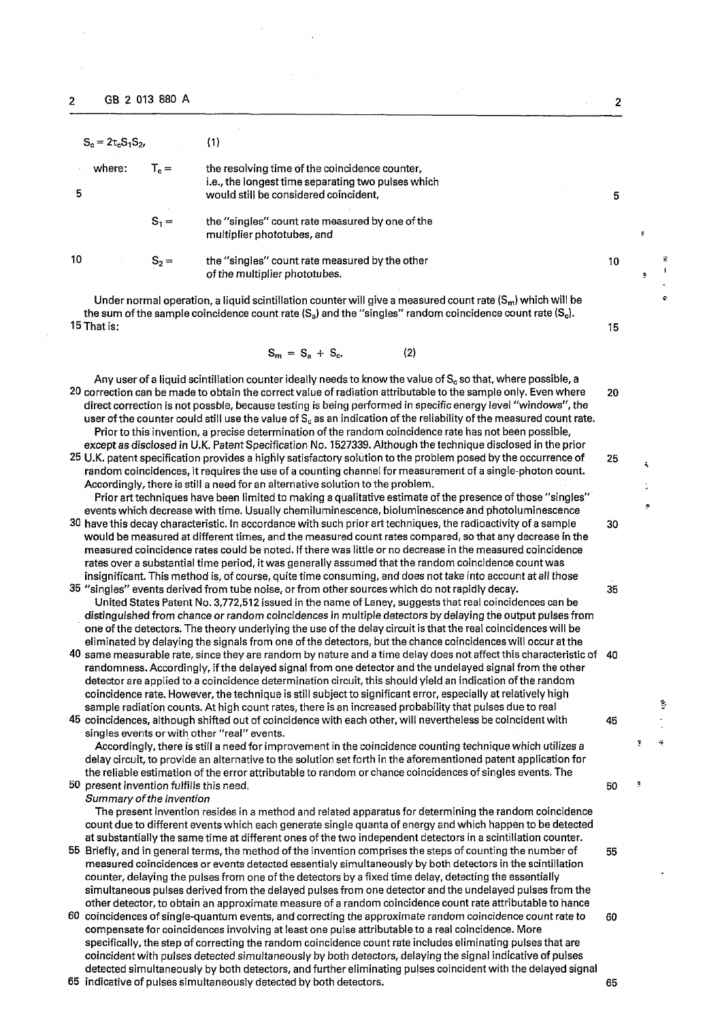| $S_c = 2\tau_c S_1 S_2$ |                             | (1)                                                                                                                                           |    |  |
|-------------------------|-----------------------------|-----------------------------------------------------------------------------------------------------------------------------------------------|----|--|
| where:<br>5             | $\mathsf{L}_{\mathsf{e}} =$ | the resolving time of the coincidence counter,<br>i.e., the longest time separating two pulses which<br>would still be considered coincident, | 5  |  |
|                         | $S_1 =$                     | the "singles" count rate measured by one of the<br>multiplier phototubes, and                                                                 |    |  |
| 10                      | $S_2 =$                     | the "singles" count rate measured by the other<br>of the multiplier phototubes.                                                               | 10 |  |

Under normal operation, a liquid scintillation counter will give a measured count rate  $(S_m)$  which will be the sum of the sample coincidence count rate  $(S_a)$  and the "singles" random coincidence count rate  $(S_c)$ .<br>15 That is: 15 That is: 15 That is: 15 That is: 15 That is: 15 That is: 15 That is: 15 That is: 15 That is: 15 That is: 15

$$
S_m = S_a + S_c. \tag{2}
$$

Any user of a liquid scintillation counter ideally needs to know the value of  $S_c$  so that, where possible, a 20 correction can be made to obtain the correct value of radiation attributable to the sample only. Even where 20 direct correction is not possble, because testing is being performed in specific energy level "windows", the user of the counter could still use the value of S<sub>c</sub> as an indication of the reliability of the measured count rate. Prior to this invention, a precise determination of the random coincidence rate has not been possible, except as disclosed in U.K. Patent Specification No. 1527339. Although the technique disclosed in the prior

- 25 U.K. patent specification provides a highly satisfactory solution to the problem posed by the occurrence of 25 random coincidences, it requires the use of a counting channel for measurement of a single-photon count. Accordingly, there is still a need for an alternative solution to the problem. Prior art techniques have been limited to making a qualitative estimate of the presence of those "singles"
- events which decrease with time. Usually chemiluminescence, bioluminescence and photoluminescence 30 have this decay characteristic. In accordance with such prior art techniques, the radioactivity of a sample 30 would be measured at different times, and the measured count rates compared, so that any decrease in the measured coincidence rates could be noted. If there was little or no decrease in the measured coincidence rates over a substantial time period, it was generally assumed that the random coincidence count was insignificant. This method is, of course, quite time consuming, and does not take into account at all those
- 35 "singles" events derived from tube noise, or from other sources which do not rapidly decay. 35 United States Patent No. 3,772,512 issued in the name of Laney, suggests that real coincidences can be distinguished from chance or random coincidences in multiple detectors by delaying the output pulses from one of the detectors. The theory underlying the use of the delay circuit is that the real coincidences will be eliminated by delaying the signals from one of the detectors, but the chance coincidences will occur at the
- 40 same measurable rate, since they are random by nature and a time delay does not affect this characteristic of 40 randomness. Accordingly, if the delayed signal from one detector and the undelayed signal from the other detector are applied to a coincidence determination circuit, this should yield an indication of the random coincidence rate. However, the technique is still subject to significant error, especially at relatively high sample radiation counts. At high count rates, there is an increased probability that pulses due to real

45 coincidences, although shifted out of coincidence with each other, will nevertheless be coincident with 45 singles events or with other "real" events. Accordingly, there is still a need for improvement in the coincidence counting technique which utilizes a delay circuit, to provide an alternative to the solution set forth in the aforementioned patent application for

the reliable estimation of the error attributable to random or chance coincidences of singles events. The 50 present invention fulfills this need. 50

*Summary of the Invention* 

The present invention resides in a method and related apparatus for determining the random coincidence count due to different events which each generate single quanta of energy and which happen to be detected at substantially the same time at different ones of the two independent detectors in a scintillation counter.

- 55 Briefly, and in general terms, the method of the invention comprises the steps of counting the number of 55 measured coincidences or events detected essentialy simultaneously by both detectors in the scintillation counter, delaying the pulses from one of the detectors by a fixed time delay, detecting the essentially simultaneous pulses derived from the delayed pulses from one detector and the undelayed pulses from the other detector, to obtain an approximate measure of a random coincidence count rate attributable to hance
- 60 coincidences of single-quantum events, and correcting the approximate random coincidence count rate to 60 compensate for coincidences involving at least one pulse attributable to a real coincidence. More specifically, the step of correcting the random coincidence count rate includes eliminating pulses that are coincident with pulses detected simultaneously by both detectors, delaying the signal indicative of pulses detected simultaneously by both detectors, and further eliminating pulses coincident with the delayed signal

65 indicative of pulses simultaneously detected by both detectors. 65

 $\overline{2}$ 

ţ

ċ

ğ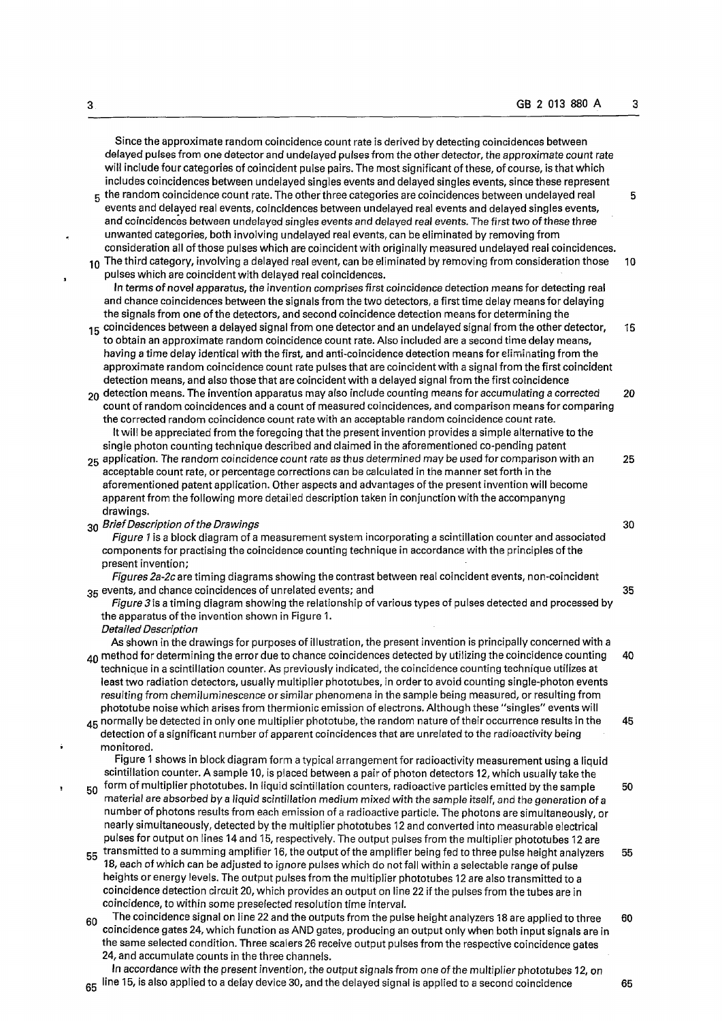**Since the approximate random coincidence count rate is derived by detecting coincidences between delayed pulses from one detector and undelayed pulses from the other detector, the approximate count rate will include four categories of coincident pulse pairs. The most significant of these, of course, is that which includes coincidences between undelayed singles events and delayed singles events, since these represent** 

- **5 the random coincidence count rate. The other three categories are coincidences between undelayed real 5 events and delayed real events, coincidences between undelayed real events and delayed singles events, and coincidences between undelayed singles events and delayed real events. The first two of these three unwanted categories, both involving undelayed real events, can be eliminated by removing from**
- **consideration all of those pulses which are coincident with originally measured undelayed real coincidences. 10 The third category, involving a delayed real event, can be eliminated by removing from consideration those 10**
- **pulses which are coincident with delayed real coincidences. In terms of novel apparatus, the invention comprises first coincidence detection means for detecting real and chance coincidences between the signals from the two detectors, a first time delay means for delaying the signals from one of the detectors, and second coincidence detection means for determining the**
- **<sup>1</sup> 5 coincidences between a delayed signal from one detector and an undelayed signal from the other detector, 15 to obtain an approximate random coincidence count rate. Also included are a second time delay means, having a time delay identical with the first, and anti-coincidence detection means for eliminating from the approximate random coincidence count rate pulses that are coincident with a signal from the first coincident detection means, and also those that are coincident with a delayed signal from the first coincidence**
- **2o detection means. The invention apparatus may also include counting means for accumulating a corrected 20 count of random coincidences and a count of measured coincidences, and comparison means for comparing the corrected random coincidence count rate with an acceptable random coincidence count rate. It will be appreciated from the foregoing that the present invention provides a simple alternative to the single photon counting technique described and claimed in the aforementioned co-pending patent**
- **25 application. The random coincidence count rate as thus determined may be used for comparison with an 25 acceptable count rate, or percentage corrections can be calculated in the manner set forth in the aforementioned patent application. Other aspects and advantages of the present invention will become apparent from the following more detailed description taken in conjunction with the accompanyng drawings.**

**30** *Brief Description of the Drawings* **30** 

*Figure 1* **is a block diagram of a measurement system incorporating a scintillation counter and associated components for practising the coincidence counting technique in accordance with the principles of the present invention;** 

*Figures 2a-2c* **are timing diagrams showing the contrast between real coincident events, non-coincident 35 events, and chance coincidences of unrelated events; and 35** 

*Figure 3* **is a timing diagram showing the relationship of various types of pulses detected and processed by the apparatus of the invention shown in Figure 1.** 

*Detailed Description* 

**As shown in the drawings for purposes of illustration, the present invention is principally concerned with a 40 method for determining the error due to chance coincidences detected by utilizing the coincidence counting 40 technique in a scintillation counter. As previously indicated, the coincidence counting technique utilizes at least two radiation detectors, usually multiplier phototubes, in order to avoid counting single-photon events resulting from chemiluminescence or similar phenomena in the sample being measured, or resulting from phototube noise which arises from thermionic emission of electrons. Although these "singles" events will 45 normally be detected in only one multiplier phototube, the random nature of their occurrence results in the 45** 

**detection of a significant number of apparent coincidences that are unrelated to the radioactivity being monitored.** 

**Figure 1 shows in block diagram form a typical arrangement for radioactivity measurement using a liquid scintillation counter. A sample 10, is placed between a pair of photon detectors 12, which usually take the** 

- $_{\rm 50}$  form of multiplier phototubes. In liquid scintillation counters, radioactive particles emitted by the sample  $~$  50 **material are absorbed by a** *liquid* **scintillation medium** *mixed* **with the sample itself, and the generation of a number of photons results from each emission of a radioactive particle. The photons are simultaneously, or nearly simultaneously, detected by the multiplier phototubes 12 and converted into measurable electrical pulses for output on lines 14 and 15, respectively. The output pulses from the multiplier phototubes 12 are <sup>5</sup> <sup>5</sup> transmitted to a summing amplifier 16, the output of the amplifier being fed to three pulse height analyzers 55**
- **18, each of which can be adjusted to ignore pulses which do not fall within a selectable range of pulse heights or energy levels. The output pulses from the multiplier phototubes 12 are also transmitted to a coincidence detection circuit 20, which provides an output on line 22 if the pulses from the tubes are in coincidence, to within some preselected resolution time interval.**
- **<sup>6</sup> <sup>0</sup> The coincidence signal on line 22 and the outputs from the pulse height analyzers 18 are applied to three 60 coincidence gates 24, which function as AND gates, producing an output only when both input signals are in the same selected condition. Three scalers 26 receive output pulses from the respective coincidence gates 24, and accumulate counts in the three channels.**

**In accordance with the present invention, the output signals from one of the multiplier phototubes 12, on 65** line 15, is also applied to a delay device 30, and the delayed signal is applied to a second coincidence 65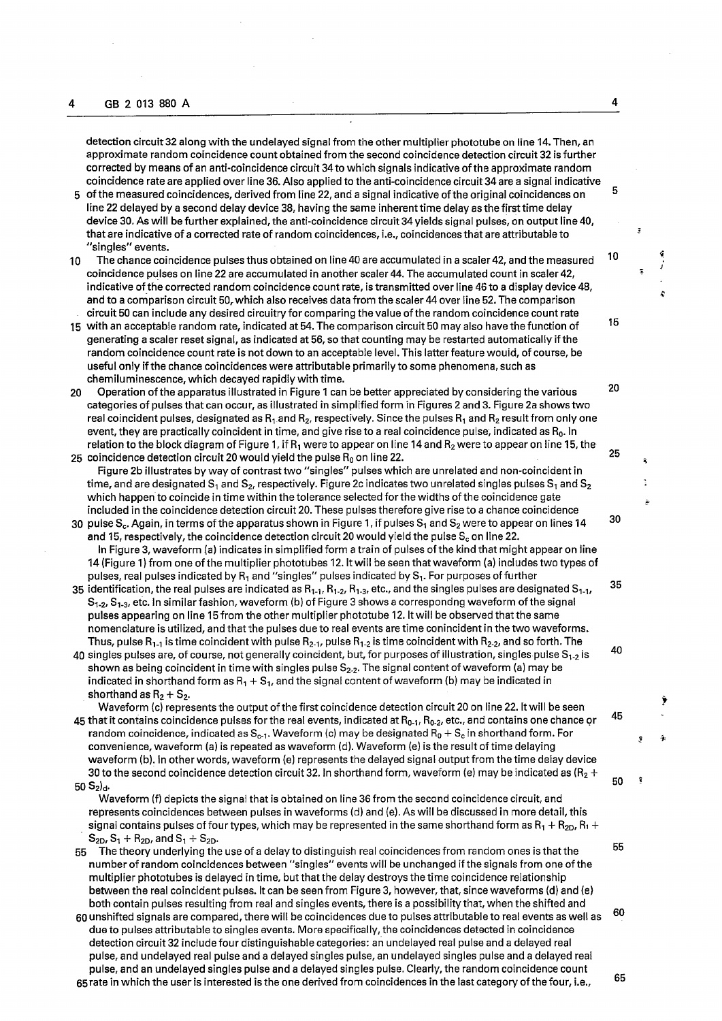**detection circuit 32 along with the undelayed signal from the other multiplier phototube on line 14. Then, an approximate random coincidence count obtained from the second coincidence detection circuit 32 is further corrected by means of an anti-coincidence circuit 34 to which signals indicative of the approximate random coincidence rate are applied over line 36. Also applied to the anti-coincidence circuit 34 are a signal indicative** 

**5 of the measured coincidences, derived from line 22, and a signal indicative of the original coincidences on line 22 delayed by a second delay device 38, having the same inherent time delay as the first time delay device 30. As will be further explained, the anti-coincidence circuit 34 yields signal pulses, on output line 40, that are indicative of a corrected rate of random coincidences, i.e., coincidences that are attributable to "singles" events.** 

- **10 The chance coincidence pulses thus obtained on line40 are accumulated in a scaler 42, and the measured coincidence pulses on line 22 are accumulated in another scaler 44. The accumulated count in scaler 42, indicative of the corrected random coincidence count rate, is transmitted over line 46 to a display device 48, and to a comparison circuit 50r which also receives data from the scaler 44 over line 52. The comparison circuit 50 can include any desired circuitry for comparing the value of the random coincidence count rate**
- **15 with an acceptable random rate, indicated at 54. The comparison circuit 50 may also have the function of generating a scaler reset signal, as indicated at 56, so that counting may be restarted automatically if the random coincidence count rate is not down to an acceptable level. This latter feature would, of course, be useful only if the chance coincidences were attributable primarily to some phenomena, such as chemiluminescence, which decayed rapidly with time.**
- **20 Operation of the apparatus illustrated in Figure 1 can be better appreciated by considering the various categories of pulses that can occur, as illustrated in simplified form in Figures 2 and 3. Figure 2a shows two real coincident pulses, designated as R<sub>1</sub>** and R<sub>2</sub>, respectively. Since the pulses R<sub>1</sub> and R<sub>2</sub> result from only one **event, they are practically coincident in time, and give rise to a real coincidence pulse, indicated as R0. In relation to the block diagram of Figure 1, if R^ were to appear on line 14 and R2 were to appear on line 15, the 25 coincidence detection circuit 20 would yield the pulse R0 on line 22. 2 5**
- **Figure 2b illustrates byway of contrast two "singles" pulses which are unrelated and non-coincident in**  time, and are designated S<sub>1</sub> and S<sub>2</sub>, respectively. Figure 2c indicates two unrelated singles pulses S<sub>1</sub> and S<sub>2</sub> **which happen to coincide in time within the tolerance selected for the widths of the coincidence gate included in the coincidence detection circuit 20. These pulses therefore give rise to a chance coincidence**
- **30 pulse S<sub>c</sub>. Again, in terms of the apparatus shown in Figure 1, if pulses S<sub>1</sub> and S<sub>2</sub> were to appear on lines 14 and 15, respectively, the coincidence detection circuit 20 would yield the pulse Sc on line 22. In Figure 3, waveform (a) indicates in simplified form a train of pulses of the kind that might appear on line 14 (Figure 1) from one of the multiplier phototubes 12. It will be seen that waveform (a) includes two types of**  pulses, real pulses indicated by R<sub>1</sub> and "singles" pulses indicated by S<sub>1</sub>. For purposes of further
- **35 identification, the real pulses are indicated as R<sub>1-1</sub>, R<sub>1-2</sub>, R<sub>1-3</sub>, etc., and the singles pulses are designated S<sub>1-1</sub>,**  $S_{1-2}$ ,  $S_{1-3}$ , etc. In similar fashion, waveform (b) of Figure 3 shows a correspondng waveform of the signal **pulses appearing on line 15 from the other multiplier phototube 12. It will be observed that the same nomenclature is utilized, and that the pulses due to real events are time conincident in the two waveforms. Thus, pulse** R**-**m **is time coincident with pulse R**2.-i, **pulse R-,"2 is time coincident with R2.2, and so forth. The**
- **40 singles pulses are, of course, not generally coincident, but, for purposes of illustration, singles pulse S^z is shown as being coincident in time with singles pulse S2-2. The signal content of waveform (a) may be indicated in shorthand form as**  $R_1 + S_1$ , and the signal content of waveform (b) may be indicated in **shorthand as**  $R_2 + S_2$ **.**

**Waveform (c) represents the output of the first coincidence detection circuit 20 on line 22. It will be seen 45 that it contains coincidence pulses for the real events, indicated at R0-i,** R0-2, **etc., and contains one chance or random coincidence, indicated as S<sub>c-1</sub>. Waveform (c) may be designated R<sub>0</sub> + S<sub>c</sub> in shorthand form. For convenience, waveform (a) is repeated as waveform (d). Waveform (e) is the result of time delaying waveform (b). In other words, waveform (e) represents the delayed signal output from the time delay device 30 to the second coincidence detection circuit 32. In shorthand form, waveform (e) may be indicated as (R2 + 50 S2)d.** 

**Waveform (f) depicts the signal that is obtained on line 36 from the second coincidence circuit, and represents coincidences between pulses in waveforms (d) and (e). As will be discussed in more detail, this signal contains pulses of four types, which may be represented in the same shorthand form as**  $R_1 + R_{2D}$ **,**  $R_1 + R_{2D}$  $S_{2D}$ ,  $S_1 + R_{2D}$ , and  $S_1 + S_{2D}$ .

55 **The theory underlying the use of a delay to distinguish real coincidences from random ones is that the number of random coincidences between "singles" events will be unchanged if the signals from one of the multiplier phototubes is delayed in time, but that the delay destroys the time coincidence relationship between the real coincident pulses. It can be seen from Figure 3, however, that, since waveforms (d) and (e) both contain pulses resulting from real and singles events, there is a possibility that, when the shifted and** 

 **6 0 60unshifted signals are compared, there will be coincidences due to pulses attributable to real events as well as due to pulses attributable to singles events. More specifically, the coincidences detected in coincidence detection circuit 32 include four distinguishable categories: an undelayed real pulse and a delayed real pulse, and undelayed real pulse and a delayed singles pulse, an undelayed singles pulse and a delayed real pulse, and an undelayed singles pulse and a delayed singles pulse. Clearly, the random coincidence count**  65 **65 rate in which the user is interested is the one derived from coincidences in the last category of the four, i.e.,** 

 $\overline{\mathbf{4}}$ 

 **5** 

 **1 0** 

 **1 5** 

20

 **3 0** 

35

**40** 

**45** 

**50** 

 **5 5**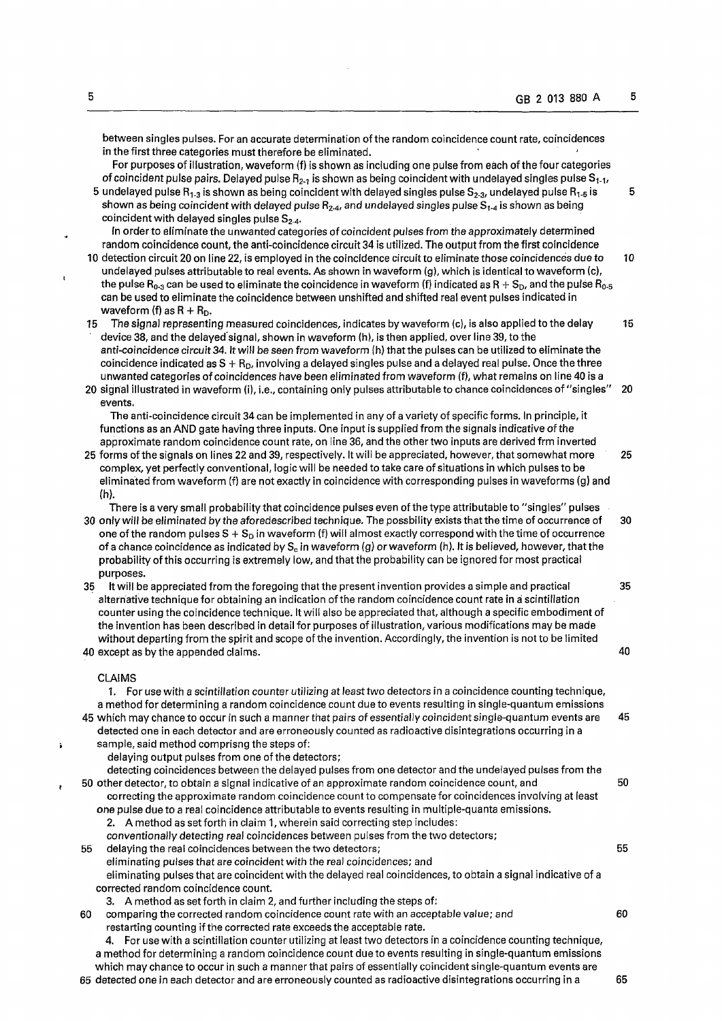**between singles pulses. For an accurate determination of the random coincidence count rate, coincidences in the first three categories must therefore be eliminated.** 

**For purposes of illustration, waveform (f) is shown as including one pulse from each of the four categories of coincident pulse pairs. Delayed pulse** R**2-**i **is shown as being coincident with undelayed singles pulse S,.-,,** 

**5 undelayed pulse Ri"3 is shown as being coincident with delayed singles pulse S2\_3, undelayed pulse Rn.s is 5**  shown as being coincident with delayed pulse R<sub>2-4</sub>, and undelayed singles pulse S<sub>1-4</sub> is shown as being **coincident with delayed singles pulse S2-4-**

**In order to eliminate the unwanted categories of coincident pulses from the approximately determined random coincidence count, the anti-coincidence circuit 34 is utilized. The output from the first coincidence** 

- **10 detection circuit 20 on line 22, is employed in the coincidence circuit to eliminate those coincidences due to 10 undelayed pulses attributable to real events. As shown in waveform (g), which is identical to waveform (c), the pulse R<sub>0</sub><sup>** $3$ **</sup> can be used to eliminate the coincidence in waveform (f) indicated as R +**  $S_p$ **, and the pulse**  $R_0$ **<sub>5</sub> can be used to eliminate the coincidence between unshifted and shifted real event pulses indicated in waveform** (f) as  $R + R_D$ .
- **15 The signal representing measured coincidences, indicates by waveform (c), is also applied to the delay 15 device 38, and the delayed'signal, shown in waveform (h), is then applied, over line 39, to the anti-coincidence circuit34. It will be seen from waveform (h) that the pulses can be utilized to eliminate the coincidence indicated asS + RD, involving a delayed singles pulse and a delayed real pulse. Once the three unwanted categories of coincidences have been eliminated from waveform (f), what remains on line 40 is a**
- **20 signal illustrated in waveform (i), i.e., containing only pulses attributable to chance coincidences of "singles" 20 events.**

**The anti-coincidence circuit 34 can be implemented in any of a variety of specific forms. In principle, it functions as an AND gate having three inputs. One input is supplied from the signals indicative of the approximate random coincidence count rate, on line 36, and the other two inputs are derived frm inverted** 

**25 forms of the signals on lines 22 and 39, respectively. It will be appreciated, however, that somewhat more 25 complex, yet perfectly conventional, logic will be needed to take care of situations in which pulses to be eliminated from waveform (f) are not exactly in coincidence with corresponding pulses in waveforms (g) and (h).** 

**There is a very small probability that coincidence pulses even of the type attributable to "singles" pulses 30 only will be eliminated by the aforedescribed technique. The possbility exists that the time of occurrence of 30 one of the random pulses S + S<sub>D</sub> in waveform (f) will almost exactly correspond with the time of occurrence of a chance coincidence as indicated by Sc in waveform (g) or waveform (h). It is believed, however, that the probability of this occurring is extremely low, and that the probability can be ignored for most practical purposes.** 

**35 It will be appreciated from the foregoing that the present invention provides a simple and practical 35 alternative technique for obtaining an indication of the random coincidence count rate in a scintillation counter using the coincidence technique. It will also be appreciated that, although a specific embodiment of the invention has been described in detail for purposes of illustration, various modifications may be made without departing from the spirit and scope of the invention. Accordingly, the invention is not to be limited** 

**40 except as by the appended claims. 40** 

## **CLAIMS**

**1. For use with a scintillation counter** *utilizing at* **least two detectors in a coincidence counting technique, a method for determining a random coincidence count due to events resulting in single-quantum emissions 45 which may chance to occur in such a manner that pairs of essentially coincident single-quantum events are 45 detected one in each detector and are erroneously counted as radioactive disintegrations occurring in a sample, said method comprisng the steps of:** 

**delaying output pulses from one of the detectors;** 

**detecting coincidences between the delayed pulses from one detector and the undelayed pulses from the 50 other detector, to obtain a signal indicative of an approximate random coincidence count, and 50 correcting the approximate random coincidence count to compensate for coincidences involving at least one pulse due to a real coincidence attributable to events resulting in multiple-quanta emissions.** 

**2. A method asset forth in claim 1, wherein said correcting step includes:** 

**conventionally detecting real coincidences between pulses from the two detectors;** 

- **55 delaying the real coincidences between the two detectors; 55** 
	- **eliminating pulses that are coincident with the real coincidences; and**

**eliminating pulses that are coincident with the delayed real coincidences, to obtain a signal indicative of a corrected random coincidence count.** 

**3. A method as set forth in claim 2, and further including the steps of:** 

**60 comparing the corrected random coincidence count rate with an acceptable value; and 60 restarting counting if the corrected rate exceeds the acceptable rate.** 

**4. For use with a scintillation counter utilizing at least two detectors in a coincidence counting technique, a method for determining a random coincidence count due to events resulting in single-quantum emissions which may chance to occur in such a manner that pairs of essentially coincident single-quantum events are 65 detected one in each detector and are erroneously counted as radioactive disintegrations occurring in a 65**